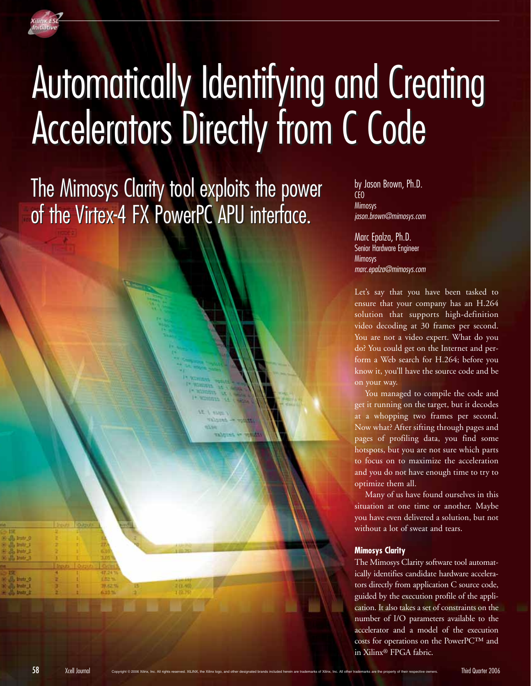

## Automatically Identifying and Creating Automatically Identifying and Creating Accelerators Directly from C Code Accelerators Directly from C Code

The Mimosys Clarity tool exploits the power The Mimosys Clarity tool exploits the power of the Virtex-4 FX PowerPC APU interface. of the Virtex-4 FX PowerPC APU interface.

by Jason Brown, Ph.D. CEO Mimosys jason.brown@mimosys.com

Marc Epalza, Ph.D. Senior Hardware Engineer **Mimosys** marc.epalza@mimosys.com

Let's say that you have been tasked to ensure that your company has an H.264 solution that supports high-definition video decoding at 30 frames per second. You are not a video expert. What do you do? You could get on the Internet and perform a Web search for H.264; before you know it, you'll have the source code and be on your way.

You managed to compile the code and get it running on the target, but it decodes at a whopping two frames per second. Now what? After sifting through pages and pages of profiling data, you find some hotspots, but you are not sure which parts to focus on to maximize the acceleration and you do not have enough time to try to optimize them all.

Many of us have found ourselves in this situation at one time or another. Maybe you have even delivered a solution, but not without a lot of sweat and tears.

## **Mimosys Clarity**

The Mimosys Clarity software tool automatically identifies candidate hardware accelerators directly from application C source code, guided by the execution profile of the application. It also takes a set of constraints on the number of I/O parameters available to the accelerator and a model of the execution costs for operations on the PowerPC™ and in Xilinx® FPGA fabric.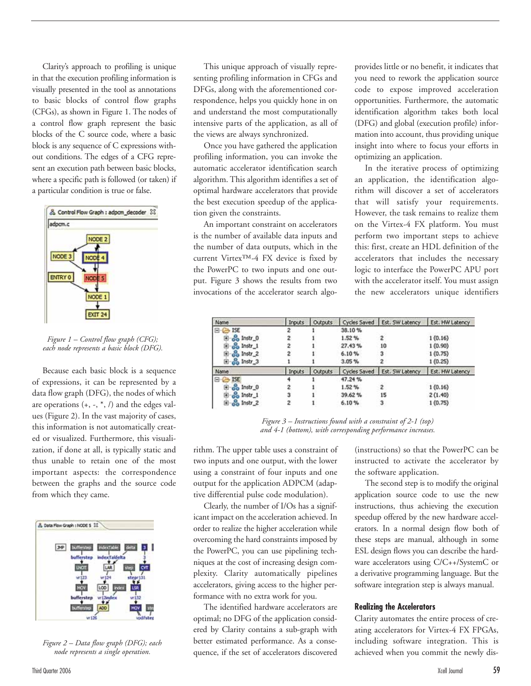Clarity's approach to profiling is unique in that the execution profiling information is visually presented in the tool as annotations to basic blocks of control flow graphs (CFGs), as shown in Figure 1. The nodes of a control flow graph represent the basic blocks of the C source code, where a basic block is any sequence of C expressions without conditions. The edges of a CFG represent an execution path between basic blocks, where a specific path is followed (or taken) if a particular condition is true or false.



*Figure 1 – Control flow graph (CFG); each node represents a basic block (DFG).*

Because each basic block is a sequence of expressions, it can be represented by a data flow graph (DFG), the nodes of which are operations  $(+, -, *, /)$  and the edges values (Figure 2). In the vast majority of cases, this information is not automatically created or visualized. Furthermore, this visualization, if done at all, is typically static and thus unable to retain one of the most important aspects: the correspondence between the graphs and the source code from which they came.



*Figure 2 – Data flow graph (DFG); each node represents a single operation.*

This unique approach of visually representing profiling information in CFGs and DFGs, along with the aforementioned correspondence, helps you quickly hone in on and understand the most computationally intensive parts of the application, as all of the views are always synchronized.

Once you have gathered the application profiling information, you can invoke the automatic accelerator identification search algorithm. This algorithm identifies a set of optimal hardware accelerators that provide the best execution speedup of the application given the constraints.

An important constraint on accelerators is the number of available data inputs and the number of data outputs, which in the current Virtex™-4 FX device is fixed by the PowerPC to two inputs and one output. Figure 3 shows the results from two invocations of the accelerator search algoprovides little or no benefit, it indicates that you need to rework the application source code to expose improved acceleration opportunities. Furthermore, the automatic identification algorithm takes both local (DFG) and global (execution profile) information into account, thus providing unique insight into where to focus your efforts in optimizing an application.

In the iterative process of optimizing an application, the identification algorithm will discover a set of accelerators that will satisfy your requirements. However, the task remains to realize them on the Virtex-4 FX platform. You must perform two important steps to achieve this: first, create an HDL definition of the accelerators that includes the necessary logic to interface the PowerPC APU port with the accelerator itself. You must assign the new accelerators unique identifiers

| Name                | Inputs | Outputs |        | Cycles Saved Est. SW Latency | Est. HW Latency |
|---------------------|--------|---------|--------|------------------------------|-----------------|
| <b>ISE</b>          | 2      |         | 38.10% |                              |                 |
| Instr_0             | 2      |         | 1.52%  | 2                            | 1(0.16)         |
| Instr_1             | 2      |         | 27.43% | 10                           | 1(0.90)         |
| ee Instr_2          |        |         | 6.10%  | з                            | 1(0.75)         |
| <b>E</b> ee Instr_3 |        |         | 3.05%  |                              | 1(0.25)         |
| Name                | Inputs | Outputs |        | Cycles Saved Est. SW Latency | Est. HW Latency |
| <b>ISE</b>          |        |         | 47.24% |                              |                 |
| Instr_0<br>е'n      |        |         | 1.52%  | $\overline{\mathbf{c}}$      | 1(0.16)         |
| Instr_1             | 3      |         | 39.62% | 15                           | 2(1.40)         |
| Instr <sub>2</sub>  |        |         | 6.10%  | 3                            | 1(0.75)         |

*Figure 3 – Instructions found with a constraint of 2-1 (top) and 4-1 (bottom), with corresponding performance increases.*

rithm. The upper table uses a constraint of two inputs and one output, with the lower using a constraint of four inputs and one output for the application ADPCM (adaptive differential pulse code modulation).

Clearly, the number of I/Os has a significant impact on the acceleration achieved. In order to realize the higher acceleration while overcoming the hard constraints imposed by the PowerPC, you can use pipelining techniques at the cost of increasing design complexity. Clarity automatically pipelines accelerators, giving access to the higher performance with no extra work for you.

The identified hardware accelerators are optimal; no DFG of the application considered by Clarity contains a sub-graph with better estimated performance. As a consequence, if the set of accelerators discovered (instructions) so that the PowerPC can be instructed to activate the accelerator by the software application.

The second step is to modify the original application source code to use the new instructions, thus achieving the execution speedup offered by the new hardware accelerators. In a normal design flow both of these steps are manual, although in some ESL design flows you can describe the hardware accelerators using C/C++/SystemC or a derivative programming language. But the software integration step is always manual.

## **Realizing the Accelerators**

Clarity automates the entire process of creating accelerators for Virtex-4 FX FPGAs, including software integration. This is achieved when you commit the newly dis